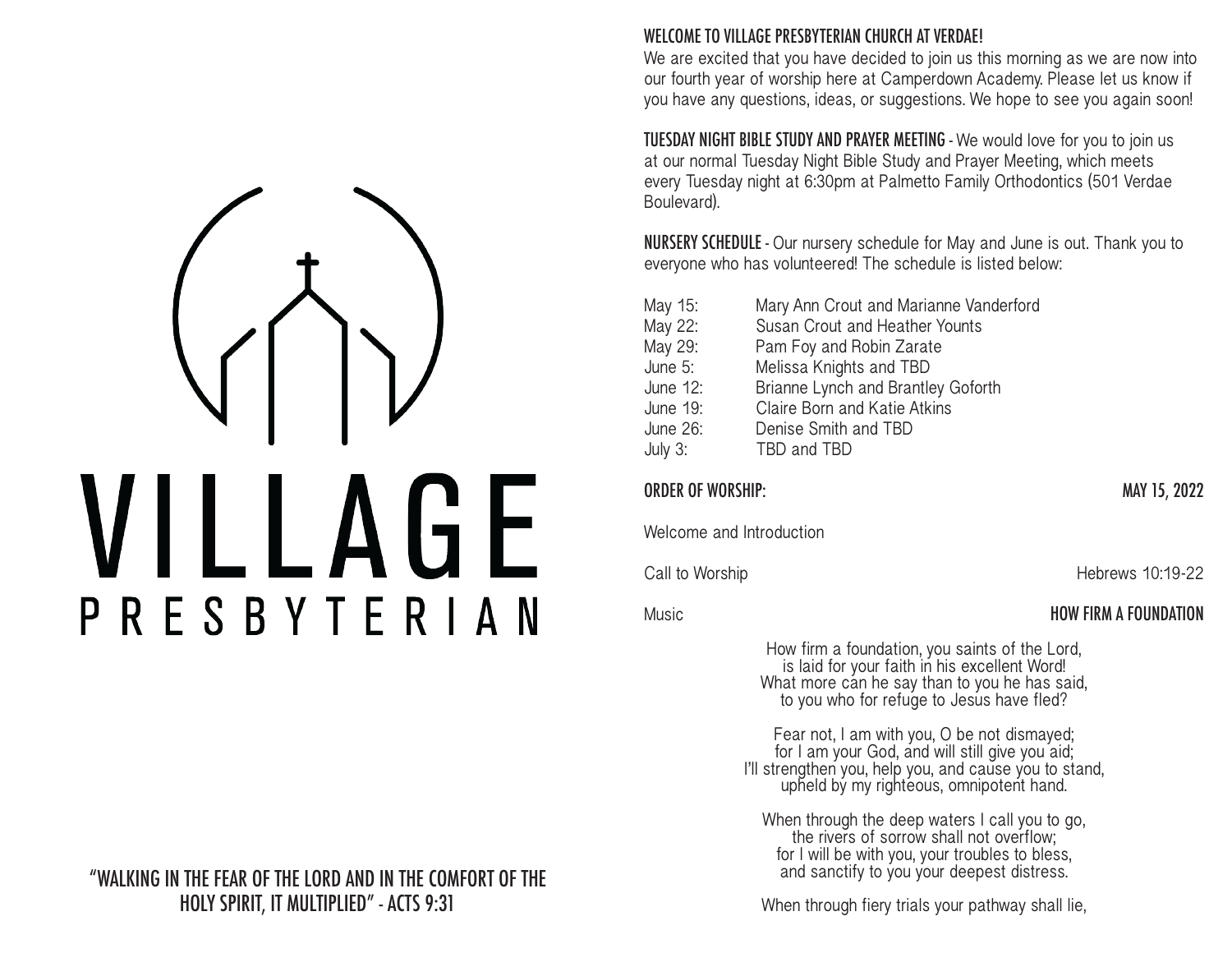WELCOME TO VILLAGE PRESBYTERIAN CHURCH AT VERDAE!

We are excited that you have decided to join us this morning as we are now into our fourth year of worship here at Camperdown Academy. Please let us know if you have any questions, ideas, or suggestions. We hope to see you again soon!

TUESDAY NIGHT BIBLE STUDY AND PRAYER MEETING - We would love for you to join us at our normal Tuesday Night Bible Study and Prayer Meeting, which meets every Tuesday night at 6:30pm at Palmetto Family Orthodontics (501 Verdae Boulevard).

NURSERY SCHEDULE - Our nursery schedule for May and June is out. Thank you to everyone who has volunteered! The schedule is listed below:

| May 15:    | Mary Ann Crout and Marianne Vanderford |
|------------|----------------------------------------|
| May 22:    | Susan Crout and Heather Younts         |
| May 29:    | Pam Foy and Robin Zarate               |
| June 5:    | Melissa Knights and TBD                |
| June 12:   | Brianne Lynch and Brantley Goforth     |
| June 19:   | Claire Born and Katie Atkins           |
| June 26:   | Denise Smith and TBD                   |
| July $3$ : | TBD and TBD                            |

| <b>ORDER OF WORSHIP:</b>                                                                                                                                                                      | MAY 15, 2022                 |
|-----------------------------------------------------------------------------------------------------------------------------------------------------------------------------------------------|------------------------------|
| Welcome and Introduction                                                                                                                                                                      |                              |
| Call to Worship                                                                                                                                                                               | Hebrews 10:19-22             |
| Music                                                                                                                                                                                         | <b>HOW FIRM A FOUNDATION</b> |
| How firm a foundation, you saints of the Lord,<br>is laid for your faith in his excellent Word!<br>What more can he say than to you he has said,<br>to you who for refuge to Jesus have fled? |                              |
| Fear not, I am with you, O be not dismayed;<br>for I am your God, and will still give you aid;<br>I'll strengthen you, help you, and cause you to stand,                                      |                              |

When through the deep waters I call you to go, the rivers of sorrow shall not overflow; for I will be with you, your troubles to bless, and sanctify to you your deepest distress.

upheld by my righteous, omnipotent hand.

When through fiery trials your pathway shall lie,

LAGE PRESBYTERIAN

"WALKING IN THE FEAR OF THE LORD AND IN THE COMFORT OF THE HOLY SPIRIT, IT MULTIPLIED" ‑ ACTS 9:31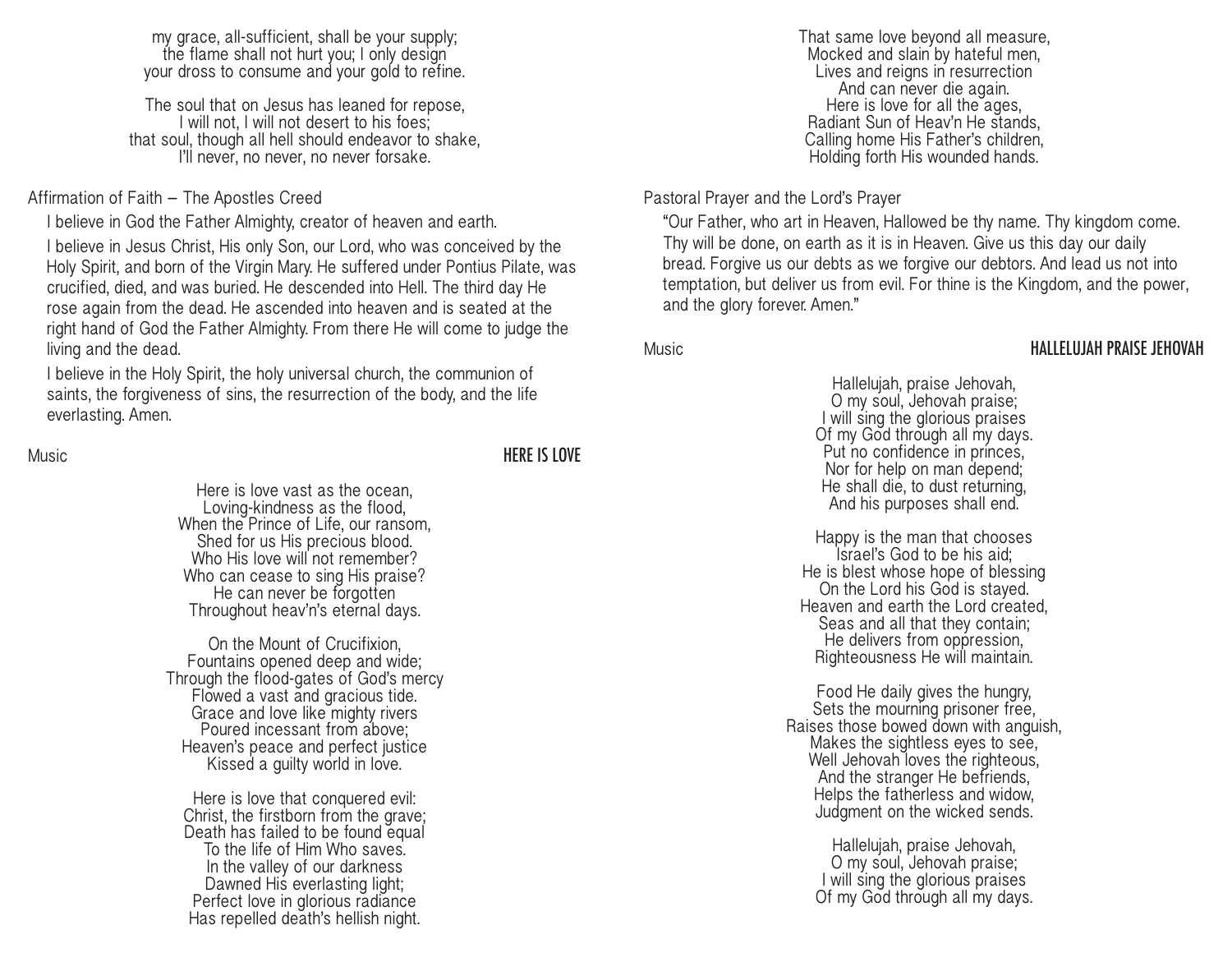my grace, all-sufficient, shall be your supply; the flame shall not hurt you; I only design your dross to consume and your gold to refine.

The soul that on Jesus has leaned for repose, I will not, I will not desert to his foes; that soul, though all hell should endeavor to shake, I'll never, no never, no never forsake.

## Affirmation of Faith – The Apostles Creed

I believe in God the Father Almighty, creator of heaven and earth. I believe in Jesus Christ, His only Son, our Lord, who was conceived by the Holy Spirit, and born of the Virgin Mary. He suffered under Pontius Pilate, was crucified, died, and was buried. He descended into Hell. The third day He rose again from the dead. He ascended into heaven and is seated at the right hand of God the Father Almighty. From there He will come to judge the living and the dead.

I believe in the Holy Spirit, the holy universal church, the communion of saints, the forgiveness of sins, the resurrection of the body, and the life everlasting. Amen.

Music **HERE IS LOVE** 

Here is love vast as the ocean, Loving-kindness as the flood, When the Prince of Life, our ransom, Shed for us His precious blood. Who His love will not remember? Who can cease to sing His praise? He can never be forgotten Throughout heav'n's eternal days.

On the Mount of Crucifixion, Fountains opened deep and wide; Through the flood-gates of God's mercy Flowed a vast and gracious tide. Grace and love like mighty rivers Poured incessant from above; Heaven's peace and perfect justice Kissed a guilty world in love.

Here is love that conquered evil: Christ, the firstborn from the grave; Death has failed to be found equal To the life of Him Who saves. In the valley of our darkness Dawned His everlasting light; Perfect love in glorious radiance Has repelled death's hellish night.

That same love beyond all measure, Mocked and slain by hateful men, Lives and reigns in resurrection And can never die again. Here is love for all the ages, Radiant Sun of Heav'n He stands, Calling home His Father's children, Holding forth His wounded hands.

Pastoral Prayer and the Lord's Prayer

"Our Father, who art in Heaven, Hallowed be thy name. Thy kingdom come. Thy will be done, on earth as it is in Heaven. Give us this day our daily bread. Forgive us our debts as we forgive our debtors. And lead us not into temptation, but deliver us from evil. For thine is the Kingdom, and the power, and the glory forever. Amen."

## Music HALLELUJAH PRAISE JEHOVAH

Hallelujah, praise Jehovah, O my soul, Jehovah praise; I will sing the glorious praises Of my God through all my days. Put no confidence in princes, Nor for help on man depend; He shall die, to dust returning, And his purposes shall end.

Happy is the man that chooses Israel's God to be his aid; He is blest whose hope of blessing On the Lord his God is stayed. Heaven and earth the Lord created, Seas and all that they contain; He delivers from oppression, Righteousness He will maintain.

Food He daily gives the hungry, Sets the mourning prisoner free, Raises those bowed down with anguish, Makes the sightless eyes to see, Well Jehovah loves the righteous, And the stranger He befriends, Helps the fatherless and widow, Judgment on the wicked sends.

> Hallelujah, praise Jehovah, O my soul, Jehovah praise; I will sing the glorious praises Of my God through all my days.